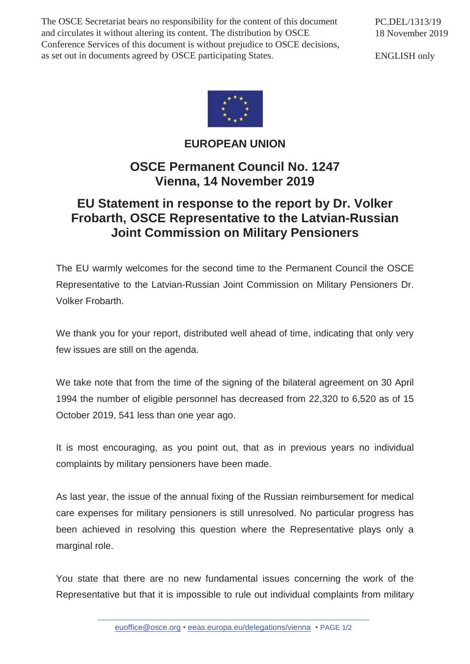The OSCE Secretariat bears no responsibility for the content of this document and circulates it without altering its content. The distribution by OSCE Conference Services of this document is without prejudice to OSCE decisions, as set out in documents agreed by OSCE participating States.

PC.DEL/1313/19 18 November 2019

ENGLISH only



## **EUROPEAN UNION**

## **OSCE Permanent Council No. 1247 Vienna, 14 November 2019**

## **EU Statement in response to the report by Dr. Volker Frobarth, OSCE Representative to the Latvian-Russian Joint Commission on Military Pensioners**

The EU warmly welcomes for the second time to the Permanent Council the OSCE Representative to the Latvian-Russian Joint Commission on Military Pensioners Dr. Volker Frobarth.

We thank you for your report, distributed well ahead of time, indicating that only very few issues are still on the agenda.

We take note that from the time of the signing of the bilateral agreement on 30 April 1994 the number of eligible personnel has decreased from 22,320 to 6,520 as of 15 October 2019, 541 less than one year ago.

It is most encouraging, as you point out, that as in previous years no individual complaints by military pensioners have been made.

As last year, the issue of the annual fixing of the Russian reimbursement for medical care expenses for military pensioners is still unresolved. No particular progress has been achieved in resolving this question where the Representative plays only a marginal role.

You state that there are no new fundamental issues concerning the work of the Representative but that it is impossible to rule out individual complaints from military